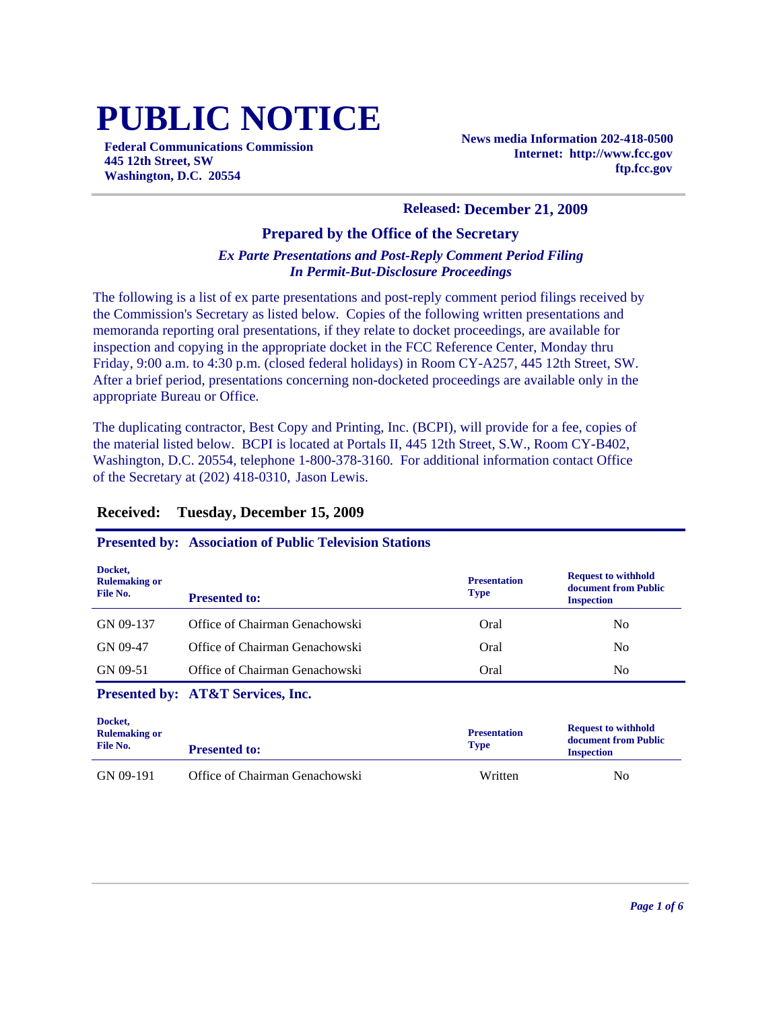# **PUBLIC NOTICE**

**Federal Communications Commission 445 12th Street, SW Washington, D.C. 20554**

**News media Information 202-418-0500 Internet: http://www.fcc.gov ftp.fcc.gov**

#### **Released: December 21, 2009**

#### **Prepared by the Office of the Secretary**

#### *Ex Parte Presentations and Post-Reply Comment Period Filing In Permit-But-Disclosure Proceedings*

The following is a list of ex parte presentations and post-reply comment period filings received by the Commission's Secretary as listed below. Copies of the following written presentations and memoranda reporting oral presentations, if they relate to docket proceedings, are available for inspection and copying in the appropriate docket in the FCC Reference Center, Monday thru Friday, 9:00 a.m. to 4:30 p.m. (closed federal holidays) in Room CY-A257, 445 12th Street, SW. After a brief period, presentations concerning non-docketed proceedings are available only in the appropriate Bureau or Office.

The duplicating contractor, Best Copy and Printing, Inc. (BCPI), will provide for a fee, copies of the material listed below. BCPI is located at Portals II, 445 12th Street, S.W., Room CY-B402, Washington, D.C. 20554, telephone 1-800-378-3160. For additional information contact Office of the Secretary at (202) 418-0310, Jason Lewis.

#### **Received: Tuesday, December 15, 2009**

#### **Presented by: Association of Public Television Stations**

| Docket,<br><b>Rulemaking or</b><br>File No. | <b>Presented to:</b>           | <b>Presentation</b><br><b>Type</b> | <b>Request to withhold</b><br>document from Public<br><b>Inspection</b> |
|---------------------------------------------|--------------------------------|------------------------------------|-------------------------------------------------------------------------|
| GN 09-137                                   | Office of Chairman Genachowski | Oral                               | No                                                                      |
| GN 09-47                                    | Office of Chairman Genachowski | Oral                               | N <sub>0</sub>                                                          |
| GN 09-51                                    | Office of Chairman Genachowski | Oral                               | N <sub>0</sub>                                                          |

#### **Presented by: AT&T Services, Inc.**

| Docket,<br><b>Rulemaking or</b><br>File No. | <b>Presented to:</b>           | <b>Presentation</b><br><b>Type</b> | <b>Request to withhold</b><br>document from Public<br><b>Inspection</b> |
|---------------------------------------------|--------------------------------|------------------------------------|-------------------------------------------------------------------------|
| GN 09-191                                   | Office of Chairman Genachowski | Written                            | No                                                                      |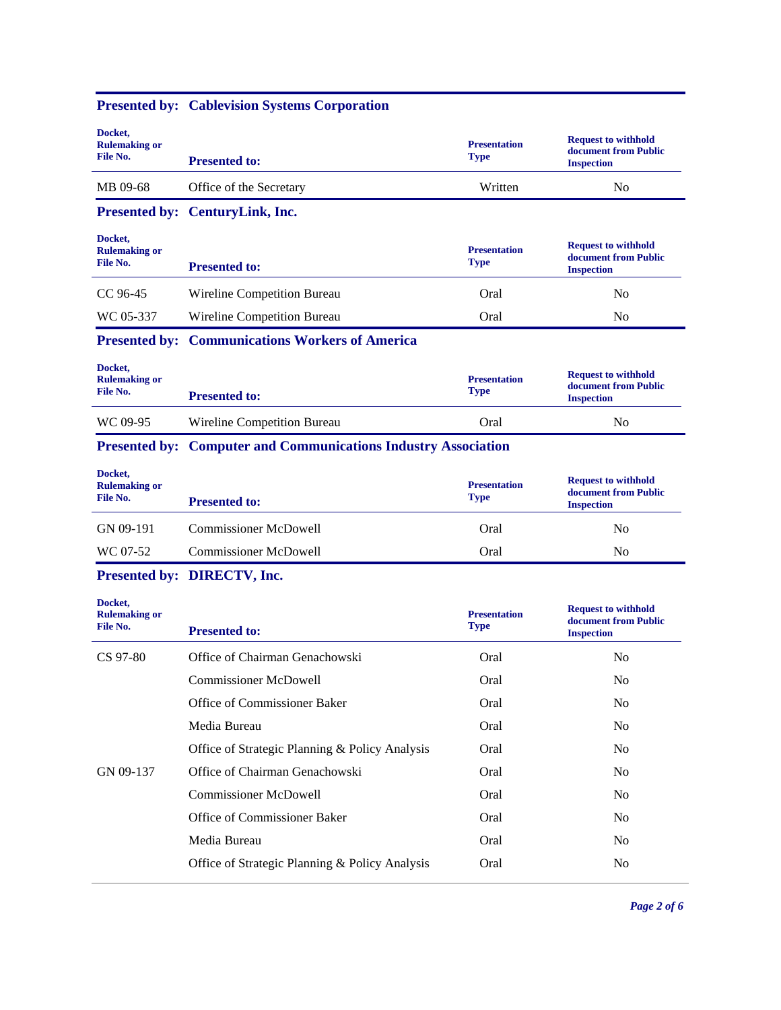|                                             | <b>Presented by: Cablevision Systems Corporation</b>                  |                                    |                                                                         |
|---------------------------------------------|-----------------------------------------------------------------------|------------------------------------|-------------------------------------------------------------------------|
| Docket,<br><b>Rulemaking or</b><br>File No. | <b>Presented to:</b>                                                  | <b>Presentation</b><br><b>Type</b> | <b>Request to withhold</b><br>document from Public<br><b>Inspection</b> |
| MB 09-68                                    | Office of the Secretary                                               | Written                            | N <sub>0</sub>                                                          |
|                                             | Presented by: CenturyLink, Inc.                                       |                                    |                                                                         |
| Docket,<br><b>Rulemaking or</b><br>File No. | <b>Presented to:</b>                                                  | <b>Presentation</b><br><b>Type</b> | <b>Request to withhold</b><br>document from Public<br><b>Inspection</b> |
| CC 96-45                                    | Wireline Competition Bureau                                           | Oral                               | N <sub>0</sub>                                                          |
| WC 05-337                                   | Wireline Competition Bureau                                           | Oral                               | No                                                                      |
|                                             | <b>Presented by: Communications Workers of America</b>                |                                    |                                                                         |
| Docket,<br><b>Rulemaking or</b><br>File No. | <b>Presented to:</b>                                                  | <b>Presentation</b><br><b>Type</b> | <b>Request to withhold</b><br>document from Public<br><b>Inspection</b> |
| WC 09-95                                    | Wireline Competition Bureau                                           | Oral                               | N <sub>0</sub>                                                          |
|                                             | <b>Presented by: Computer and Communications Industry Association</b> |                                    |                                                                         |
|                                             |                                                                       |                                    |                                                                         |
| Docket,<br><b>Rulemaking or</b><br>File No. | <b>Presented to:</b>                                                  | <b>Presentation</b><br><b>Type</b> | <b>Request to withhold</b><br>document from Public<br><b>Inspection</b> |
| GN 09-191                                   | <b>Commissioner McDowell</b>                                          | Oral                               | N <sub>0</sub>                                                          |
| WC 07-52                                    | <b>Commissioner McDowell</b>                                          | Oral                               | N <sub>0</sub>                                                          |
|                                             | Presented by: DIRECTV, Inc.                                           |                                    |                                                                         |
| Docket,<br><b>Rulemaking or</b><br>File No. | <b>Presented to:</b>                                                  | <b>Presentation</b><br><b>Type</b> | <b>Request to withhold</b><br>document from Public<br><b>Inspection</b> |
| CS 97-80                                    | Office of Chairman Genachowski                                        | Oral                               | N <sub>0</sub>                                                          |
|                                             | <b>Commissioner McDowell</b>                                          | Oral                               | N <sub>o</sub>                                                          |
|                                             | Office of Commissioner Baker                                          | Oral                               | No                                                                      |
|                                             | Media Bureau                                                          | Oral                               | No                                                                      |
|                                             | Office of Strategic Planning & Policy Analysis                        | Oral                               | N <sub>o</sub>                                                          |
| GN 09-137                                   | Office of Chairman Genachowski                                        | Oral                               | N <sub>o</sub>                                                          |
|                                             | <b>Commissioner McDowell</b>                                          | Oral                               | N <sub>o</sub>                                                          |

Media Bureau Oral No Office of Strategic Planning & Policy Analysis Oral No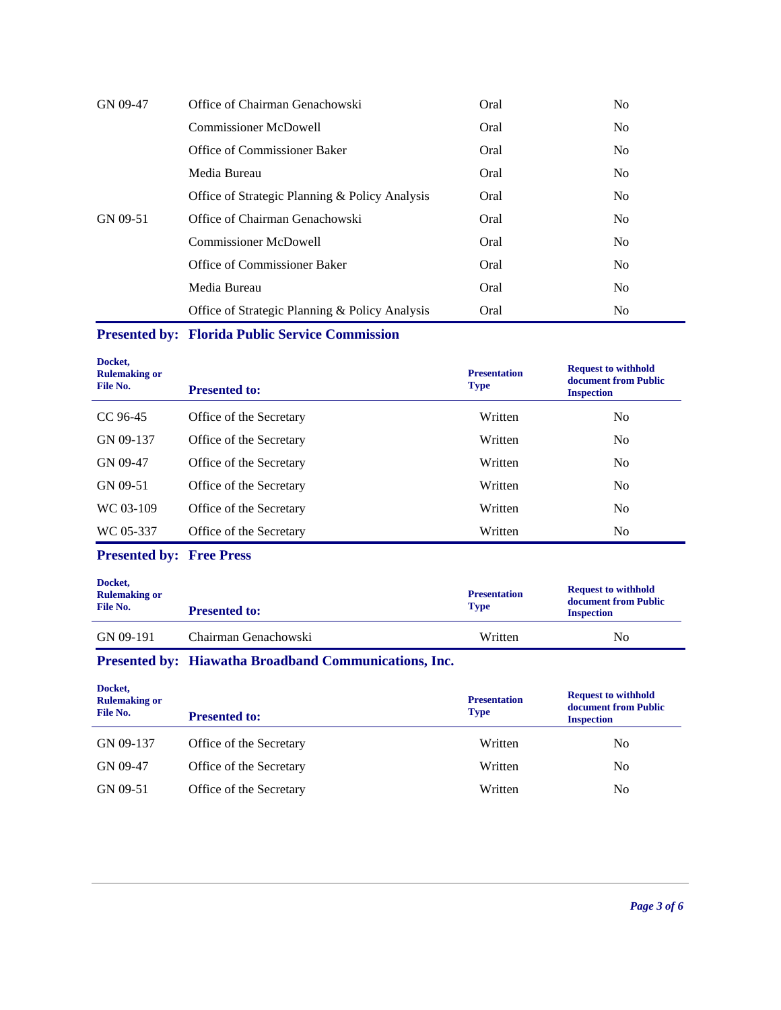| GN 09-47 | Office of Chairman Genachowski                 | Oral | N <sub>0</sub> |
|----------|------------------------------------------------|------|----------------|
|          | <b>Commissioner McDowell</b>                   | Oral | N <sub>o</sub> |
|          | Office of Commissioner Baker                   | Oral | N <sub>o</sub> |
|          | Media Bureau                                   | Oral | N <sub>o</sub> |
|          | Office of Strategic Planning & Policy Analysis | Oral | N <sub>0</sub> |
| GN 09-51 | Office of Chairman Genachowski                 | Oral | N <sub>0</sub> |
|          | <b>Commissioner McDowell</b>                   | Oral | N <sub>o</sub> |
|          | Office of Commissioner Baker                   | Oral | N <sub>o</sub> |
|          | Media Bureau                                   | Oral | N <sub>0</sub> |
|          | Office of Strategic Planning & Policy Analysis | Oral | N <sub>0</sub> |

# **Presented by: Florida Public Service Commission**

| Docket,<br><b>Rulemaking or</b><br>File No. | <b>Presented to:</b>    | <b>Presentation</b><br><b>Type</b> | <b>Request to withhold</b><br>document from Public<br><b>Inspection</b> |
|---------------------------------------------|-------------------------|------------------------------------|-------------------------------------------------------------------------|
| CC 96-45                                    | Office of the Secretary | Written                            | N <sub>0</sub>                                                          |
| GN 09-137                                   | Office of the Secretary | Written                            | N <sub>0</sub>                                                          |
| GN 09-47                                    | Office of the Secretary | Written                            | N <sub>0</sub>                                                          |
| GN 09-51                                    | Office of the Secretary | Written                            | N <sub>0</sub>                                                          |
| WC 03-109                                   | Office of the Secretary | Written                            | N <sub>0</sub>                                                          |
| WC 05-337                                   | Office of the Secretary | Written                            | N <sub>0</sub>                                                          |

# **Presented by: Free Press**

| Docket,<br><b>Rulemaking or</b><br>File No. | <b>Presented to:</b> | <b>Presentation</b><br><b>Type</b> | <b>Request to withhold</b><br>document from Public<br><b>Inspection</b> |
|---------------------------------------------|----------------------|------------------------------------|-------------------------------------------------------------------------|
| GN 09-191                                   | Chairman Genachowski | Written                            | No                                                                      |

# **Presented by: Hiawatha Broadband Communications, Inc.**

| Docket,<br><b>Rulemaking or</b><br>File No. | <b>Presented to:</b>    | <b>Presentation</b><br><b>Type</b> | <b>Request to withhold</b><br>document from Public<br><b>Inspection</b> |
|---------------------------------------------|-------------------------|------------------------------------|-------------------------------------------------------------------------|
| GN 09-137                                   | Office of the Secretary | Written                            | N <sub>0</sub>                                                          |
| GN 09-47                                    | Office of the Secretary | Written                            | N <sub>0</sub>                                                          |
| GN 09-51                                    | Office of the Secretary | Written                            | N <sub>0</sub>                                                          |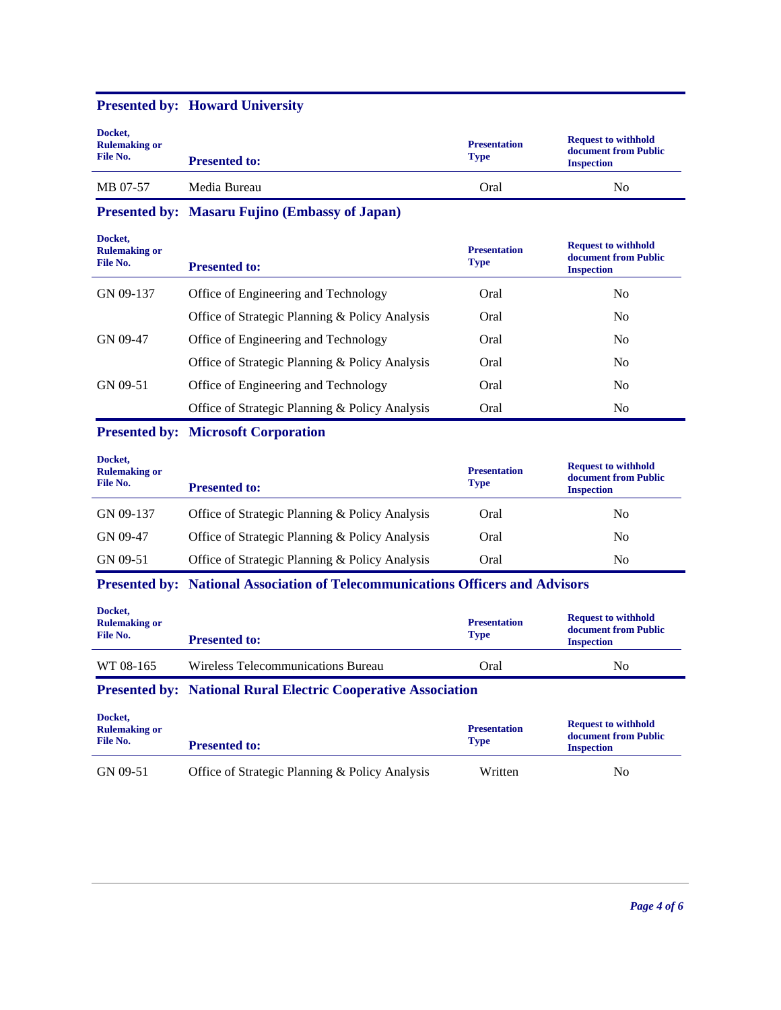| Docket,<br><b>Rulemaking or</b><br>File No. | <b>Presented to:</b> | <b>Presentation</b><br><b>Type</b> | <b>Request to withhold</b><br>document from Public<br><b>Inspection</b> |
|---------------------------------------------|----------------------|------------------------------------|-------------------------------------------------------------------------|
| MB 07-57                                    | Media Bureau         | Oral                               | No                                                                      |

#### **Presented by: Howard University**

**Presented by: Masaru Fujino (Embassy of Japan)**

| Docket,<br><b>Rulemaking or</b><br>File No. | <b>Presented to:</b>                           | <b>Presentation</b><br><b>Type</b> | <b>Request to withhold</b><br>document from Public<br><b>Inspection</b> |
|---------------------------------------------|------------------------------------------------|------------------------------------|-------------------------------------------------------------------------|
| GN 09-137                                   | Office of Engineering and Technology           | Oral                               | N <sub>0</sub>                                                          |
|                                             | Office of Strategic Planning & Policy Analysis | Oral                               | N <sub>0</sub>                                                          |
| GN 09-47                                    | Office of Engineering and Technology           | Oral                               | N <sub>0</sub>                                                          |
|                                             | Office of Strategic Planning & Policy Analysis | Oral                               | N <sub>0</sub>                                                          |
| GN 09-51                                    | Office of Engineering and Technology           | Oral                               | N <sub>0</sub>                                                          |
|                                             | Office of Strategic Planning & Policy Analysis | Oral                               | N <sub>0</sub>                                                          |

# **Presented by: Microsoft Corporation**

| Docket,<br><b>Rulemaking or</b><br>File No. | <b>Presented to:</b>                           | <b>Presentation</b><br><b>Type</b> | <b>Request to withhold</b><br>document from Public<br><b>Inspection</b> |
|---------------------------------------------|------------------------------------------------|------------------------------------|-------------------------------------------------------------------------|
| GN 09-137                                   | Office of Strategic Planning & Policy Analysis | Oral                               | No                                                                      |
| GN 09-47                                    | Office of Strategic Planning & Policy Analysis | Oral                               | N <sub>0</sub>                                                          |
| GN 09-51                                    | Office of Strategic Planning & Policy Analysis | Oral                               | No                                                                      |

# **Presented by: National Association of Telecommunications Officers and Advisors**

| WT 08-165<br>Wireless Telecommunications Bureau<br>Oral<br>No | Docket,<br><b>Rulemaking or</b><br>File No.<br><b>Presented to:</b> |  | <b>Presentation</b><br><b>Type</b> | <b>Request to withhold</b><br>document from Public<br><b>Inspection</b> |  |
|---------------------------------------------------------------|---------------------------------------------------------------------|--|------------------------------------|-------------------------------------------------------------------------|--|
|                                                               |                                                                     |  |                                    |                                                                         |  |

#### **Presented by: National Rural Electric Cooperative Association**

| Docket,<br><b>Rulemaking or</b><br>File No. | <b>Presented to:</b>                           | <b>Presentation</b><br><b>Type</b> | <b>Request to withhold</b><br>document from Public<br><b>Inspection</b> |
|---------------------------------------------|------------------------------------------------|------------------------------------|-------------------------------------------------------------------------|
| GN 09-51                                    | Office of Strategic Planning & Policy Analysis | Written                            | No                                                                      |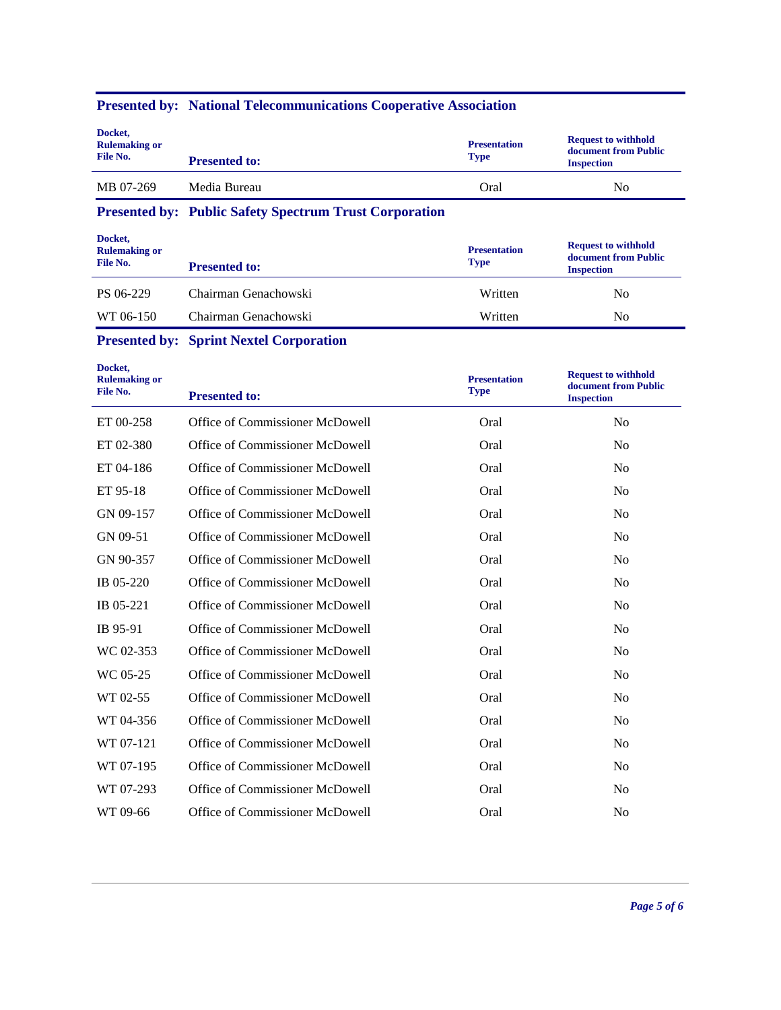| Docket,<br><b>Rulemaking or</b><br>File No. | <b>Presented to:</b> | <b>Presentation</b><br><b>Type</b> | <b>Request to withhold</b><br>document from Public<br><b>Inspection</b> |
|---------------------------------------------|----------------------|------------------------------------|-------------------------------------------------------------------------|
| MB 07-269                                   | Media Bureau         | Oral                               | No                                                                      |

# **Presented by: National Telecommunications Cooperative Association**

**Presented by: Public Safety Spectrum Trust Corporation**

| Docket,<br><b>Rulemaking or</b><br>File No. | <b>Presented to:</b> | <b>Presentation</b><br><b>Type</b> | <b>Request to withhold</b><br>document from Public<br><b>Inspection</b> |
|---------------------------------------------|----------------------|------------------------------------|-------------------------------------------------------------------------|
| PS 06-229                                   | Chairman Genachowski | Written                            | No                                                                      |
| WT 06-150                                   | Chairman Genachowski | Written                            | No                                                                      |

# **Presented by: Sprint Nextel Corporation**

| Docket,<br><b>Rulemaking or</b><br>File No. | <b>Presented to:</b>            | <b>Presentation</b><br><b>Type</b> | <b>Request to withhold</b><br>document from Public<br><b>Inspection</b> |
|---------------------------------------------|---------------------------------|------------------------------------|-------------------------------------------------------------------------|
| ET 00-258                                   | Office of Commissioner McDowell | Oral                               | N <sub>o</sub>                                                          |
| ET 02-380                                   | Office of Commissioner McDowell | Oral                               | N <sub>0</sub>                                                          |
| ET 04-186                                   | Office of Commissioner McDowell | Oral                               | N <sub>0</sub>                                                          |
| ET 95-18                                    | Office of Commissioner McDowell | Oral                               | N <sub>0</sub>                                                          |
| GN 09-157                                   | Office of Commissioner McDowell | Oral                               | N <sub>o</sub>                                                          |
| GN 09-51                                    | Office of Commissioner McDowell | Oral                               | N <sub>o</sub>                                                          |
| GN 90-357                                   | Office of Commissioner McDowell | Oral                               | N <sub>o</sub>                                                          |
| IB 05-220                                   | Office of Commissioner McDowell | Oral                               | N <sub>o</sub>                                                          |
| IB 05-221                                   | Office of Commissioner McDowell | Oral                               | N <sub>0</sub>                                                          |
| IB 95-91                                    | Office of Commissioner McDowell | Oral                               | N <sub>o</sub>                                                          |
| WC 02-353                                   | Office of Commissioner McDowell | Oral                               | N <sub>o</sub>                                                          |
| WC 05-25                                    | Office of Commissioner McDowell | Oral                               | N <sub>0</sub>                                                          |
| WT 02-55                                    | Office of Commissioner McDowell | Oral                               | N <sub>0</sub>                                                          |
| WT 04-356                                   | Office of Commissioner McDowell | Oral                               | N <sub>0</sub>                                                          |
| WT 07-121                                   | Office of Commissioner McDowell | Oral                               | N <sub>0</sub>                                                          |
| WT 07-195                                   | Office of Commissioner McDowell | Oral                               | N <sub>0</sub>                                                          |
| WT 07-293                                   | Office of Commissioner McDowell | Oral                               | N <sub>o</sub>                                                          |
| WT 09-66                                    | Office of Commissioner McDowell | Oral                               | N <sub>o</sub>                                                          |